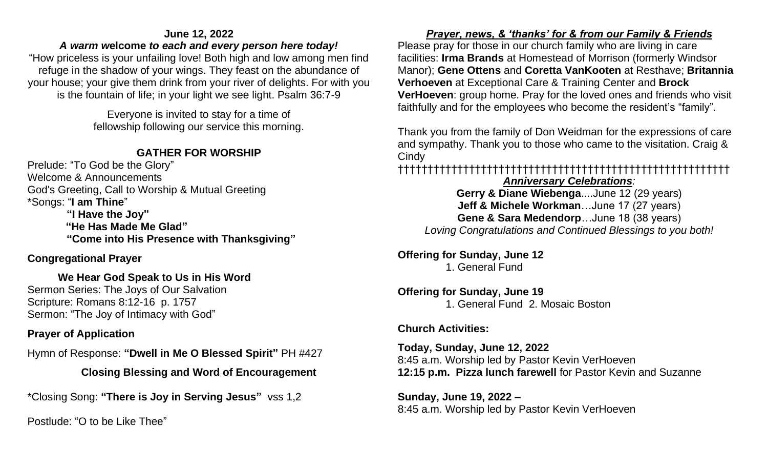#### **June 12, 2022**

#### *A warm w***elcome** *to each and every person here today[!](https://www.biblestudytools.com/isaiah/12-6.html)*

"How priceless is your unfailing love! Both high and low among men find refuge in the shadow of your wings. They feast on the abundance of your house; your give them drink from your river of delights. For with you is the fountain of life; in your light we see light. Psalm 36:7-9

> Everyone is invited to stay for a time of fellowship following our service this morning.

### **GATHER FOR WORSHIP**

Prelude: "To God be the Glory" Welcome & Announcements God's Greeting, Call to Worship & Mutual Greeting \*Songs: "**I am Thine**" **"I Have the Joy" "He Has Made Me Glad" "Come into His Presence with Thanksgiving"** 

### **Congregational Prayer**

#### **We Hear God Speak to Us in His Word** Sermon Series: The Joys of Our Salvation Scripture: Romans 8:12-16 p. 1757 Sermon: "The Joy of Intimacy with God"

### **Prayer of Application**

Hymn of Response: **"Dwell in Me O Blessed Spirit"** PH #427

# **Closing Blessing and Word of Encouragement**

\*Closing Song: **"There is Joy in Serving Jesus"** vss 1,2

Postlude: "O to be Like Thee"

# *Prayer, news, & 'thanks' for & from our Family & Friends*

Please pray for those in our church family who are living in care facilities: **Irma Brands** at Homestead of Morrison (formerly Windsor Manor); **Gene Ottens** and **Coretta VanKooten** at Resthave; **Britannia Verhoeven** at Exceptional Care & Training Center and **Brock VerHoeven**: group home. Pray for the loved ones and friends who visit faithfully and for the employees who become the resident's "family".

Thank you from the family of Don Weidman for the expressions of care and sympathy. Thank you to those who came to the visitation. Craig & **Cindy** 

# ††††††††††††††††††††††††††††††††††††††††††††††††††††††††

#### *Anniversary Celebrations:*

**Gerry & Diane Wiebenga**....June 12 (29 years) **Jeff & Michele Workman**…June 17 (27 years) **Gene & Sara Medendorp**…June 18 (38 years) *Loving Congratulations and Continued Blessings to you both!* 

**Offering for Sunday, June 12** 1. General Fund

# **Offering for Sunday, June 19**

1. General Fund 2. Mosaic Boston

### **Church Activities:**

**Today, Sunday, June 12, 2022** 8:45 a.m. Worship led by Pastor Kevin VerHoeven **12:15 p.m. Pizza lunch farewell** for Pastor Kevin and Suzanne

**Sunday, June 19, 2022 –** 8:45 a.m. Worship led by Pastor Kevin VerHoeven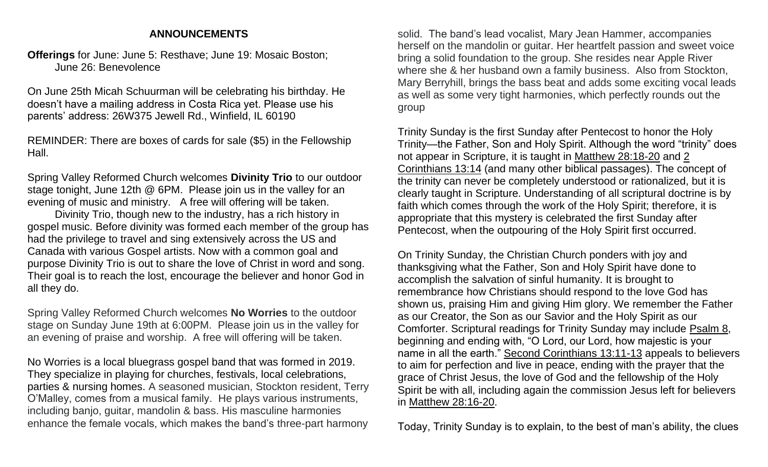#### **ANNOUNCEMENTS**

**Offerings** for June: June 5: Resthave; June 19: Mosaic Boston; June 26: Benevolence

On June 25th Micah Schuurman will be celebrating his birthday. He doesn't have a mailing address in Costa Rica yet. Please use his parents' address: 26W375 Jewell Rd., Winfield, IL 60190

REMINDER: There are boxes of cards for sale (\$5) in the Fellowship Hall.

Spring Valley Reformed Church welcomes **Divinity Trio** to our outdoor stage tonight, June 12th @ 6PM. Please join us in the valley for an evening of music and ministry. A free will offering will be taken.

Divinity Trio, though new to the industry, has a rich history in gospel music. Before divinity was formed each member of the group has had the privilege to travel and sing extensively across the US and Canada with various Gospel artists. Now with a common goal and purpose Divinity Trio is out to share the love of Christ in word and song. Their goal is to reach the lost, encourage the believer and honor God in all they do.

Spring Valley Reformed Church welcomes **No Worries** to the outdoor stage on Sunday June 19th at 6:00PM. Please join us in the valley for an evening of praise and worship. A free will offering will be taken.

No Worries is a local bluegrass gospel band that was formed in 2019. They specialize in playing for churches, festivals, local celebrations, parties & nursing homes. A seasoned musician, Stockton resident, Terry O'Malley, comes from a musical family. He plays various instruments, including banjo, guitar, mandolin & bass. His masculine harmonies enhance the female vocals, which makes the band's three-part harmony

solid. The band's lead vocalist, Mary Jean Hammer, accompanies herself on the mandolin or guitar. Her heartfelt passion and sweet voice bring a solid foundation to the group. She resides near Apple River where she & her husband own a family business. Also from Stockton, Mary Berryhill, brings the bass beat and adds some exciting vocal leads as well as some very tight harmonies, which perfectly rounds out the group

Trinity Sunday is the first Sunday after Pentecost to honor the Holy Trinity—the Father, Son and Holy Spirit. Although the word "trinity" does not appear in Scripture, it is taught in [Matthew 28:18-20](https://biblia.com/bible/esv/Matt%2028.18-20) and [2](https://biblia.com/bible/esv/2%20Cor%2013.14)  [Corinthians 13:14](https://biblia.com/bible/esv/2%20Cor%2013.14) (and many other biblical passages). The concept of the trinity can never be completely understood or rationalized, but it is clearly taught in Scripture. Understanding of all scriptural doctrine is by faith which comes through the work of the Holy Spirit; therefore, it is appropriate that this mystery is celebrated the first Sunday after Pentecost, when the outpouring of the Holy Spirit first occurred.

On Trinity Sunday, the Christian Church ponders with joy and thanksgiving what the Father, Son and Holy Spirit have done to accomplish the salvation of sinful humanity. It is brought to remembrance how Christians should respond to the love God has shown us, praising Him and giving Him glory. We remember the Father as our Creator, the Son as our Savior and the Holy Spirit as our Comforter. Scriptural readings for Trinity Sunday may include [Psalm 8,](https://biblia.com/bible/esv/Ps%208) beginning and ending with, "O Lord, our Lord, how majestic is your name in all the earth." [Second Corinthians 13:11-13](https://biblia.com/bible/esv/2%20Cor%2013.11-13) appeals to believers to aim for perfection and live in peace, ending with the prayer that the grace of Christ Jesus, the love of God and the fellowship of the Holy Spirit be with all, including again the commission Jesus left for believers in [Matthew 28:16-20.](https://biblia.com/bible/esv/Matt%2028.16-20)

Today, Trinity Sunday is to explain, to the best of man's ability, the clues